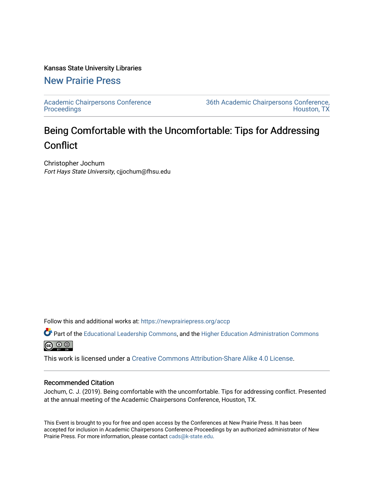#### Kansas State University Libraries

# [New Prairie Press](https://newprairiepress.org/)

[Academic Chairpersons Conference](https://newprairiepress.org/accp)  **Proceedings** 

[36th Academic Chairpersons Conference,](https://newprairiepress.org/accp/2019)  [Houston, TX](https://newprairiepress.org/accp/2019) 

# Being Comfortable with the Uncomfortable: Tips for Addressing **Conflict**

Christopher Jochum Fort Hays State University, cjjochum@fhsu.edu

Follow this and additional works at: [https://newprairiepress.org/accp](https://newprairiepress.org/accp?utm_source=newprairiepress.org%2Faccp%2F2019%2Fleadership%2F10&utm_medium=PDF&utm_campaign=PDFCoverPages) 

Part of the [Educational Leadership Commons,](http://network.bepress.com/hgg/discipline/1230?utm_source=newprairiepress.org%2Faccp%2F2019%2Fleadership%2F10&utm_medium=PDF&utm_campaign=PDFCoverPages) and the [Higher Education Administration Commons](http://network.bepress.com/hgg/discipline/791?utm_source=newprairiepress.org%2Faccp%2F2019%2Fleadership%2F10&utm_medium=PDF&utm_campaign=PDFCoverPages)  $\bigcirc$   $\bigcirc$   $\bigcirc$ 

This work is licensed under a [Creative Commons Attribution-Share Alike 4.0 License.](https://creativecommons.org/licenses/by-sa/4.0/)

#### Recommended Citation

Jochum, C. J. (2019). Being comfortable with the uncomfortable. Tips for addressing conflict. Presented at the annual meeting of the Academic Chairpersons Conference, Houston, TX.

This Event is brought to you for free and open access by the Conferences at New Prairie Press. It has been accepted for inclusion in Academic Chairpersons Conference Proceedings by an authorized administrator of New Prairie Press. For more information, please contact [cads@k-state.edu.](mailto:cads@k-state.edu)